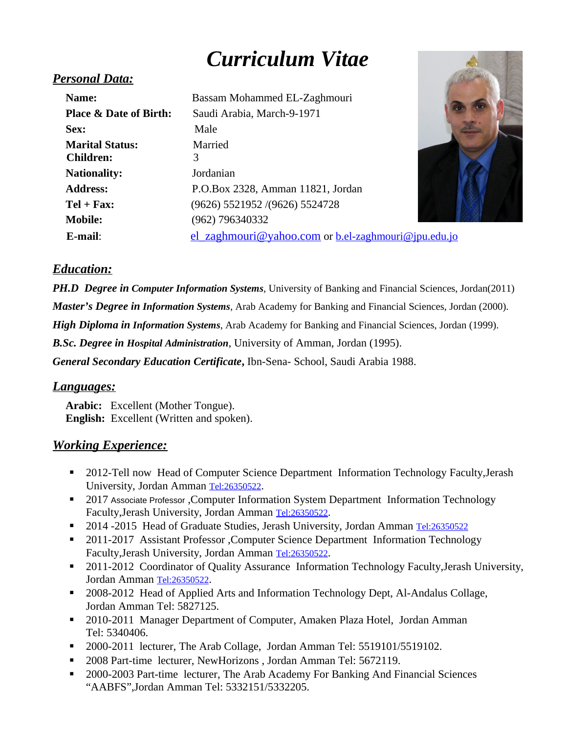# *Curriculum Vitae*

## *Personal Data:*

| Name:                             | Bassam Mohammed EL-Zaghmouri                                      |
|-----------------------------------|-------------------------------------------------------------------|
| <b>Place &amp; Date of Birth:</b> | Saudi Arabia, March-9-1971                                        |
| Sex:                              | Male                                                              |
| <b>Marital Status:</b>            | Married                                                           |
| Children:                         | 3                                                                 |
| <b>Nationality:</b>               | Jordanian                                                         |
| <b>Address:</b>                   | P.O.Box 2328, Amman 11821, Jordan                                 |
| $Tel + Fax:$                      | (9626) 5521952 /(9626) 5524728                                    |
| <b>Mobile:</b>                    | (962) 796340332                                                   |
| E-mail:                           | <u>el zaghmouri@yahoo.com</u> or <u>b.el-zaghmouri@jpu.edu.jo</u> |



## *Education:*

*PH.D Degree in Computer Information Systems*, University of Banking and Financial Sciences, Jordan(2011)

*Master's Degree in Information Systems*, Arab Academy for Banking and Financial Sciences, Jordan (2000).

*High Diploma in Information Systems*, Arab Academy for Banking and Financial Sciences, Jordan (1999).

*B.Sc. Degree in Hospital Administration*, University of Amman, Jordan (1995).

*General Secondary Education Certificate***,** Ibn-Sena- School, Saudi Arabia 1988.

#### *Languages:*

**Arabic:** Excellent (Mother Tongue). **English:** Excellent (Written and spoken).

#### *Working Experience:*

- **2012-Tell now Head of Computer Science Department Information Technology Faculty, Jerash** University, Jordan Amman [Tel:26350522](tel:26350522).
- <sup>2017</sup> Associate Professor, Computer Information System Department Information Technology Faculty,Jerash University, Jordan Amman [Tel:26350522](tel:26350522).
- 2014 -2015 Head of Graduate Studies, Jerash University, Jordan Amman [Tel:26350522](tel:26350522)
- **2011-2017** Assistant Professor , Computer Science Department Information Technology Faculty,Jerash University, Jordan Amman [Tel:26350522](tel:26350522).
- 2011-2012 Coordinator of Quality Assurance Information Technology Faculty, Jerash University, Jordan Amman [Tel:26350522](tel:26350522).
- 2008-2012 Head of Applied Arts and Information Technology Dept, Al-Andalus Collage, Jordan Amman Tel: 5827125.
- 2010-2011 Manager Department of Computer, Amaken Plaza Hotel, Jordan Amman Tel: 5340406.
- 2000-2011 lecturer, The Arab Collage, Jordan Amman Tel: 5519101/5519102.
- 2008 Part-time lecturer, NewHorizons, Jordan Amman Tel: 5672119.
- 2000-2003 Part-time lecturer, The Arab Academy For Banking And Financial Sciences "AABFS",Jordan Amman Tel: 5332151/5332205.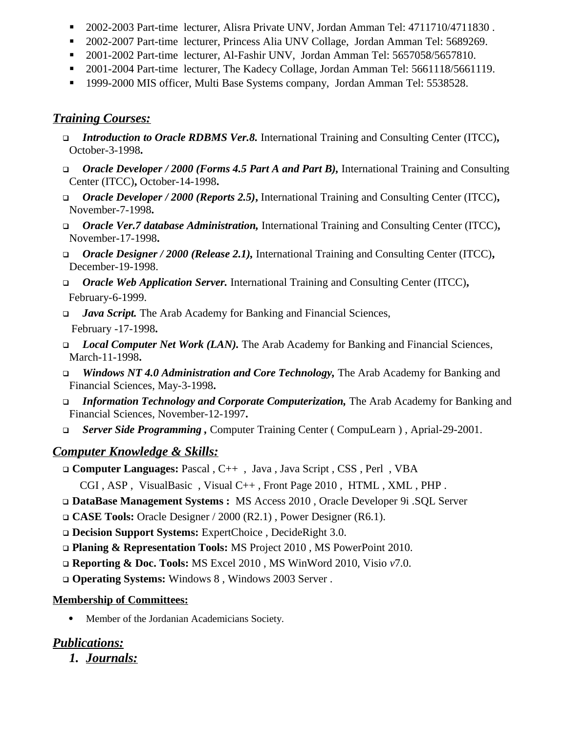- 2002-2003 Part-time lecturer, Alisra Private UNV, Jordan Amman Tel: 4711710/4711830 .
- 2002-2007 Part-time lecturer, Princess Alia UNV Collage, Jordan Amman Tel: 5689269.
- 2001-2002 Part-time lecturer, Al-Fashir UNV, Jordan Amman Tel: 5657058/5657810.
- 2001-2004 Part-time lecturer, The Kadecy Collage, Jordan Amman Tel: 5661118/5661119.
- 1999-2000 MIS officer, Multi Base Systems company, Jordan Amman Tel: 5538528.

## *Training Courses:*

- *Introduction to Oracle RDBMS Ver.8.* International Training and Consulting Center (ITCC)**,**  October-3-1998**.**
- *Oracle Developer / 2000 (Forms 4.5 Part A and Part B),* International Training and Consulting Center (ITCC)**,** October-14-1998**.**
- *Oracle Developer / 2000 (Reports 2.5)***,** International Training and Consulting Center (ITCC)**,**  November-7-1998**.**
- *Oracle Ver.7 database Administration,* International Training and Consulting Center (ITCC)**,** November-17-1998**.**
- *Oracle Designer / 2000 (Release 2.1),* International Training and Consulting Center (ITCC)**,**  December-19-1998.
- *Oracle Web Application Server.* International Training and Consulting Center (ITCC)**,** February-6-1999.
- *Java Script.* The Arab Academy for Banking and Financial Sciences, February -17-1998**.**
- *Local Computer Net Work (LAN).* The Arab Academy for Banking and Financial Sciences, March-11-1998**.**
- *Windows NT 4.0 Administration and Core Technology,* The Arab Academy for Banking and Financial Sciences, May-3-1998**.**
- *Information Technology and Corporate Computerization,* The Arab Academy for Banking and Financial Sciences, November-12-1997**.**
- *Server Side Programming ,* Computer Training Center ( CompuLearn ) , Aprial-29-2001.

# *Computer Knowledge & Skills:*

- **Computer Languages:** Pascal , C++ , Java , Java Script , CSS , Perl , VBA
	- CGI , ASP , VisualBasic , Visual C++ , Front Page 2010 , HTML , XML , PHP .
- **DataBase Management Systems :** MS Access 2010 , Oracle Developer 9i .SQL Server
- **CASE Tools:** Oracle Designer / 2000 (R2.1) , Power Designer (R6.1).
- **Decision Support Systems:** ExpertChoice , DecideRight 3.0.
- **Planing & Representation Tools:** MS Project 2010 , MS PowerPoint 2010.
- **Reporting & Doc. Tools:** MS Excel 2010 , MS WinWord 2010, Visio *v*7.0.
- **Operating Systems:** Windows 8 , Windows 2003 Server .

## **Membership of Committees:**

Member of the Jordanian Academicians Society.

# *Publications:*

*1. Journals:*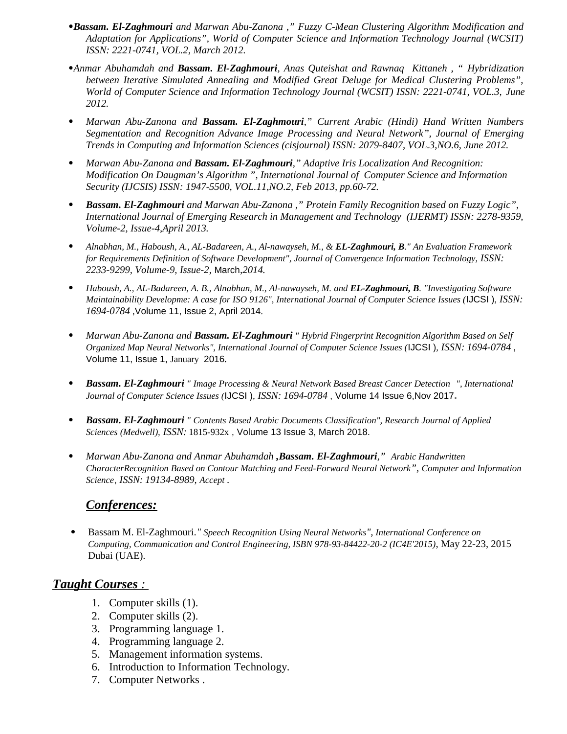- *Bassam. El-Zaghmouri and Marwan Abu-Zanona ," Fuzzy C-Mean Clustering Algorithm Modification and Adaptation for Applications", World of Computer Science and Information Technology Journal (WCSIT) ISSN: 2221-0741, VOL.2, March 2012.*
- *Anmar Abuhamdah and Bassam. El-Zaghmouri, Anas Quteishat and Rawnaq Kittaneh , " Hybridization between Iterative Simulated Annealing and Modified Great Deluge for Medical Clustering Problems", World of Computer Science and Information Technology Journal (WCSIT) ISSN: 2221-0741, VOL.3, June 2012.*
- *Marwan Abu-Zanona and Bassam. El-Zaghmouri," Current Arabic (Hindi) Hand Written Numbers Segmentation and Recognition Advance Image Processing and Neural Network", Journal of Emerging Trends in Computing and Information Sciences (cisjournal) ISSN: 2079-8407, VOL.3,NO.6, June 2012.*
- *Marwan Abu-Zanona and Bassam. El-Zaghmouri," Adaptive Iris Localization And Recognition: Modification On Daugman's Algorithm ", International Journal of Computer Science and Information Security (IJCSIS) ISSN: 1947-5500, VOL.11,NO.2, Feb 2013, pp.60-72.*
- *Bassam. El-Zaghmouri and Marwan Abu-Zanona ," Protein Family Recognition based on Fuzzy Logic", International Journal of Emerging Research in Management and Technology (IJERMT) ISSN: 2278-9359, Volume-2, Issue-4,April 2013.*
- *Alnabhan, M., Haboush, A., AL-Badareen, A., Al-nawayseh, M., & EL-Zaghmouri, B." An Evaluation Framework for Requirements Definition of Software Development", Journal of Convergence Information Technology, ISSN: 2233-9299, Volume-9, Issue-2,* March*,2014.*
- *Haboush, A., AL-Badareen, A. B., Alnabhan, M., Al-nawayseh, M. and EL-Zaghmouri, B. "Investigating Software Maintainability Developme: A case for ISO 9126", International Journal of Computer Science Issues (*IJCSI )*, ISSN: 1694-0784* ,Volume 11, Issue 2, April 2014*.*
- *Marwan Abu-Zanona and Bassam. El-Zaghmouri " Hybrid Fingerprint Recognition Algorithm Based on Self Organized Map Neural Networks", International Journal of Computer Science Issues (*IJCSI )*, ISSN: 1694-0784* , Volume 11, Issue 1, January 2016*.*
- *Bassam. El-Zaghmouri " Image Processing & Neural Network Based Breast Cancer Detection ", International Journal of Computer Science Issues (*IJCSI )*, ISSN: 1694-0784* , Volume 14 Issue 6,Nov 2017**.**
- *Bassam. El-Zaghmouri " Contents Based Arabic Documents Classification", Research Journal of Applied Sciences (Medwell), ISSN:* 1815-932x , Volume 13 Issue 3, March 2018.
- *Marwan Abu-Zanona and Anmar Abuhamdah ,Bassam. El-Zaghmouri," Arabic Handwritten CharacterRecognition Based on Contour Matching and Feed-Forward Neural Network", Computer and Information Science*, *ISSN: 19134-8989, Accept .*

#### *Conferences:*

 Bassam M. El-Zaghmouri*." Speech Recognition Using Neural Networks", International Conference on Computing, Communication and Control Engineering, ISBN 978-93-84422-20-2 (IC4E'2015)*, May 22-23, 2015 Dubai (UAE)*.*

#### *Taught Courses :*

- 1. Computer skills (1).
- 2. Computer skills (2).
- 3. Programming language 1.
- 4. Programming language 2.
- 5. Management information systems.
- 6. Introduction to Information Technology.
- 7. Computer Networks .